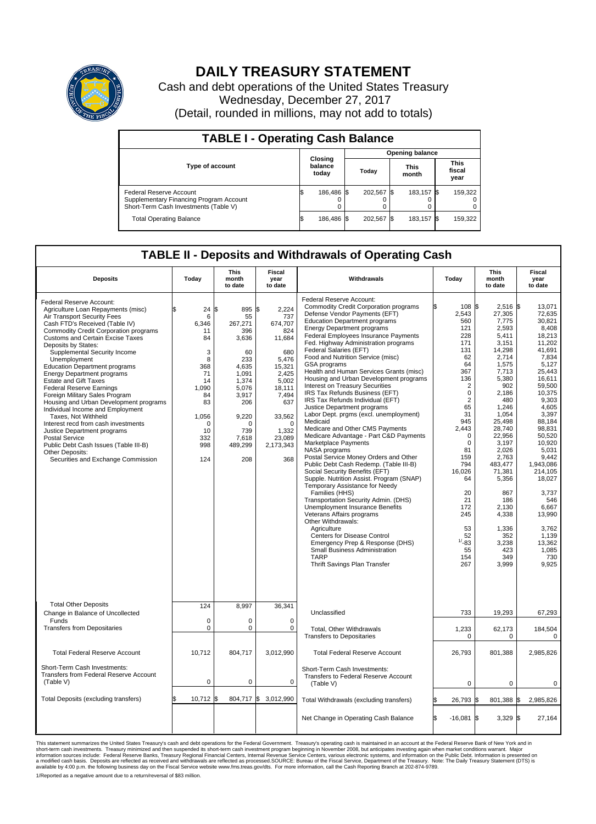

## **DAILY TREASURY STATEMENT**

Cash and debt operations of the United States Treasury Wednesday, December 27, 2017 (Detail, rounded in millions, may not add to totals)

| <b>TABLE I - Operating Cash Balance</b>                                                                     |    |                             |  |                        |  |                      |  |                               |  |
|-------------------------------------------------------------------------------------------------------------|----|-----------------------------|--|------------------------|--|----------------------|--|-------------------------------|--|
|                                                                                                             |    |                             |  | <b>Opening balance</b> |  |                      |  |                               |  |
| <b>Type of account</b>                                                                                      |    | Closing<br>balance<br>today |  | Today                  |  | <b>This</b><br>month |  | <b>This</b><br>fiscal<br>year |  |
| Federal Reserve Account<br>Supplementary Financing Program Account<br>Short-Term Cash Investments (Table V) |    | 186,486 \$                  |  | 202.567 \$             |  | 183.157 \$           |  | 159,322                       |  |
| <b>Total Operating Balance</b>                                                                              | ß. | 186,486 \$                  |  | 202.567                |  | 183,157 \$           |  | 159,322                       |  |

## **TABLE II - Deposits and Withdrawals of Operating Cash**

| <b>Deposits</b>                                                                                                                                                                                                                                                                                                                                                                                                                                                                                                                                                                                                                                                                                                                                                                    | Today                                                                                                                          | <b>This</b><br>month<br>to date                                                                                                                                | <b>Fiscal</b><br>Withdrawals<br>year<br>to date                                                                                                                             |                                                                                                                                                                                                                                                                                                                                                                                                                                                                                                                                                                                                                                                                                                                                                                                                                                                                                                                                                                                                                                                                                                                                                                                                                                                                                                  | Today                                                                                                                                                                                                                                                                                                   | <b>This</b><br>month<br>to date                                                                                                                                                                                                                                                                                        | <b>Fiscal</b><br>year<br>to date                                                                                                                                                                                                                                                                                                           |  |
|------------------------------------------------------------------------------------------------------------------------------------------------------------------------------------------------------------------------------------------------------------------------------------------------------------------------------------------------------------------------------------------------------------------------------------------------------------------------------------------------------------------------------------------------------------------------------------------------------------------------------------------------------------------------------------------------------------------------------------------------------------------------------------|--------------------------------------------------------------------------------------------------------------------------------|----------------------------------------------------------------------------------------------------------------------------------------------------------------|-----------------------------------------------------------------------------------------------------------------------------------------------------------------------------|--------------------------------------------------------------------------------------------------------------------------------------------------------------------------------------------------------------------------------------------------------------------------------------------------------------------------------------------------------------------------------------------------------------------------------------------------------------------------------------------------------------------------------------------------------------------------------------------------------------------------------------------------------------------------------------------------------------------------------------------------------------------------------------------------------------------------------------------------------------------------------------------------------------------------------------------------------------------------------------------------------------------------------------------------------------------------------------------------------------------------------------------------------------------------------------------------------------------------------------------------------------------------------------------------|---------------------------------------------------------------------------------------------------------------------------------------------------------------------------------------------------------------------------------------------------------------------------------------------------------|------------------------------------------------------------------------------------------------------------------------------------------------------------------------------------------------------------------------------------------------------------------------------------------------------------------------|--------------------------------------------------------------------------------------------------------------------------------------------------------------------------------------------------------------------------------------------------------------------------------------------------------------------------------------------|--|
| Federal Reserve Account:<br>Agriculture Loan Repayments (misc)<br>Air Transport Security Fees<br>Cash FTD's Received (Table IV)<br><b>Commodity Credit Corporation programs</b><br>Customs and Certain Excise Taxes<br>Deposits by States:<br>Supplemental Security Income<br>Unemployment<br><b>Education Department programs</b><br><b>Energy Department programs</b><br><b>Estate and Gift Taxes</b><br><b>Federal Reserve Earnings</b><br>Foreign Military Sales Program<br>Housing and Urban Development programs<br>Individual Income and Employment<br>Taxes, Not Withheld<br>Interest recd from cash investments<br>Justice Department programs<br><b>Postal Service</b><br>Public Debt Cash Issues (Table III-B)<br>Other Deposits:<br>Securities and Exchange Commission | 24<br>6<br>6,346<br>11<br>84<br>3<br>8<br>368<br>71<br>14<br>1,090<br>84<br>83<br>1,056<br>$\Omega$<br>10<br>332<br>998<br>124 | 895 \$<br>\$<br>55<br>267,271<br>396<br>3,636<br>60<br>233<br>4,635<br>1,091<br>1,374<br>5,076<br>3.917<br>206<br>9,220<br>n<br>739<br>7,618<br>489,299<br>208 | 2.224<br>737<br>674,707<br>824<br>11,684<br>680<br>5.476<br>15,321<br>2,425<br>5,002<br>18,111<br>7,494<br>637<br>33,562<br>$\Omega$<br>1,332<br>23,089<br>2,173,343<br>368 | Federal Reserve Account:<br><b>Commodity Credit Corporation programs</b><br>Defense Vendor Payments (EFT)<br><b>Education Department programs</b><br><b>Energy Department programs</b><br><b>Federal Employees Insurance Payments</b><br>Fed. Highway Administration programs<br>Federal Salaries (EFT)<br>Food and Nutrition Service (misc)<br>GSA programs<br>Health and Human Services Grants (misc)<br>Housing and Urban Development programs<br>Interest on Treasury Securities<br>IRS Tax Refunds Business (EFT)<br>IRS Tax Refunds Individual (EFT)<br>Justice Department programs<br>Labor Dept. prgms (excl. unemployment)<br>Medicaid<br>Medicare and Other CMS Payments<br>Medicare Advantage - Part C&D Payments<br>Marketplace Payments<br>NASA programs<br>Postal Service Money Orders and Other<br>Public Debt Cash Redemp. (Table III-B)<br>Social Security Benefits (EFT)<br>Supple. Nutrition Assist. Program (SNAP)<br>Temporary Assistance for Needy<br>Families (HHS)<br>Transportation Security Admin. (DHS)<br>Unemployment Insurance Benefits<br>Veterans Affairs programs<br>Other Withdrawals:<br>Agriculture<br><b>Centers for Disease Control</b><br>Emergency Prep & Response (DHS)<br>Small Business Administration<br><b>TARP</b><br>Thrift Savings Plan Transfer | ß.<br>108 \$<br>2,543<br>560<br>121<br>228<br>171<br>131<br>62<br>64<br>367<br>136<br>$\overline{2}$<br>$\mathbf 0$<br>$\overline{2}$<br>65<br>31<br>945<br>2,443<br>$\Omega$<br>$\mathbf 0$<br>81<br>159<br>794<br>16,026<br>64<br>20<br>21<br>172<br>245<br>53<br>52<br>$1/ - 83$<br>55<br>154<br>267 | $2,516$ \$<br>27,305<br>7,775<br>2,593<br>5.411<br>3,151<br>14,298<br>2,714<br>1,575<br>7,713<br>5,380<br>902<br>2,186<br>480<br>1,246<br>1,054<br>25,498<br>28,740<br>22,956<br>3,197<br>2.026<br>2,763<br>483,477<br>71,381<br>5,356<br>867<br>186<br>2,130<br>4,338<br>1,336<br>352<br>3,238<br>423<br>349<br>3,999 | 13,071<br>72.635<br>30,821<br>8,408<br>18.213<br>11,202<br>41.691<br>7,834<br>5.127<br>25,443<br>16,611<br>59,500<br>10,375<br>9,303<br>4,605<br>3,397<br>88,184<br>98,831<br>50,520<br>10,920<br>5.031<br>9.442<br>1,943,086<br>214,105<br>18,027<br>3,737<br>546<br>6,667<br>13,990<br>3,762<br>1,139<br>13,362<br>1.085<br>730<br>9,925 |  |
| <b>Total Other Deposits</b><br>Change in Balance of Uncollected<br>Funds<br><b>Transfers from Depositaries</b>                                                                                                                                                                                                                                                                                                                                                                                                                                                                                                                                                                                                                                                                     | 124<br>$\mathbf 0$<br>$\pmb{0}$                                                                                                | 8,997<br>0<br>0                                                                                                                                                | 36,341<br>$\mathbf 0$<br>$\mathbf 0$                                                                                                                                        | Unclassified<br>Total, Other Withdrawals<br><b>Transfers to Depositaries</b>                                                                                                                                                                                                                                                                                                                                                                                                                                                                                                                                                                                                                                                                                                                                                                                                                                                                                                                                                                                                                                                                                                                                                                                                                     | 733<br>1,233<br>0                                                                                                                                                                                                                                                                                       | 19,293<br>62,173<br>0                                                                                                                                                                                                                                                                                                  | 67,293<br>184,504<br>0                                                                                                                                                                                                                                                                                                                     |  |
| <b>Total Federal Reserve Account</b>                                                                                                                                                                                                                                                                                                                                                                                                                                                                                                                                                                                                                                                                                                                                               | 10,712                                                                                                                         | 804,717                                                                                                                                                        | 3,012,990                                                                                                                                                                   | <b>Total Federal Reserve Account</b>                                                                                                                                                                                                                                                                                                                                                                                                                                                                                                                                                                                                                                                                                                                                                                                                                                                                                                                                                                                                                                                                                                                                                                                                                                                             | 26,793                                                                                                                                                                                                                                                                                                  | 801,388                                                                                                                                                                                                                                                                                                                | 2,985,826                                                                                                                                                                                                                                                                                                                                  |  |
| Short-Term Cash Investments:<br><b>Transfers from Federal Reserve Account</b><br>(Table V)                                                                                                                                                                                                                                                                                                                                                                                                                                                                                                                                                                                                                                                                                         | $\mathbf 0$                                                                                                                    | 0                                                                                                                                                              | $\mathbf 0$                                                                                                                                                                 | Short-Term Cash Investments:<br>Transfers to Federal Reserve Account<br>(Table V)                                                                                                                                                                                                                                                                                                                                                                                                                                                                                                                                                                                                                                                                                                                                                                                                                                                                                                                                                                                                                                                                                                                                                                                                                | $\mathbf 0$                                                                                                                                                                                                                                                                                             | 0                                                                                                                                                                                                                                                                                                                      | 0                                                                                                                                                                                                                                                                                                                                          |  |
| Total Deposits (excluding transfers)                                                                                                                                                                                                                                                                                                                                                                                                                                                                                                                                                                                                                                                                                                                                               | 10,712                                                                                                                         | 1\$                                                                                                                                                            | 804,717 \$ 3,012,990                                                                                                                                                        | Total Withdrawals (excluding transfers)                                                                                                                                                                                                                                                                                                                                                                                                                                                                                                                                                                                                                                                                                                                                                                                                                                                                                                                                                                                                                                                                                                                                                                                                                                                          | 26,793 \$<br>l\$                                                                                                                                                                                                                                                                                        | 801,388 \$                                                                                                                                                                                                                                                                                                             | 2,985,826                                                                                                                                                                                                                                                                                                                                  |  |
|                                                                                                                                                                                                                                                                                                                                                                                                                                                                                                                                                                                                                                                                                                                                                                                    |                                                                                                                                |                                                                                                                                                                |                                                                                                                                                                             | Net Change in Operating Cash Balance                                                                                                                                                                                                                                                                                                                                                                                                                                                                                                                                                                                                                                                                                                                                                                                                                                                                                                                                                                                                                                                                                                                                                                                                                                                             | l\$<br>$-16,081$ \$                                                                                                                                                                                                                                                                                     | $3,329$ \$                                                                                                                                                                                                                                                                                                             | 27,164                                                                                                                                                                                                                                                                                                                                     |  |

This statement summarizes the United States Treasury's cash and debt operations for the Federal Government. Treasury operating in November 2008, but anticinates investing again when market conditions warrant. Major York an

1/Reported as a negative amount due to a return/reversal of \$83 million.